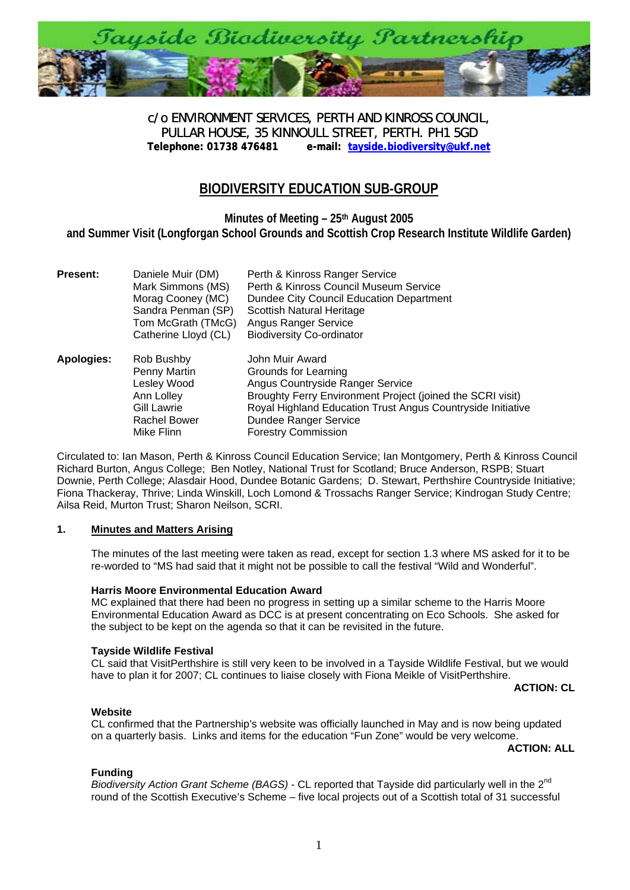

c/o ENVIRONMENT SERVICES, PERTH AND KINROSS COUNCIL, PULLAR HOUSE, 35 KINNOULL STREET, PERTH. PH1 5GD<br>Telephone: 01738 476481 e-mail: tayside.biodiversity@ukf.n **[Telephone: 01738 476481 e-mail: tayside.biodiversity@ukf.net](mailto:tayside.biodiversity@ukf.net)**

# **BIODIVERSITY EDUCATION SUB-GROUP**

**Minutes of Meeting – 25th August 2005 and Summer Visit (Longforgan School Grounds and Scottish Crop Research Institute Wildlife Garden)** 

| <b>Present:</b> | Daniele Muir (DM)    | Perth & Kinross Ranger Service                              |
|-----------------|----------------------|-------------------------------------------------------------|
|                 | Mark Simmons (MS)    | Perth & Kinross Council Museum Service                      |
|                 | Morag Cooney (MC)    | Dundee City Council Education Department                    |
|                 | Sandra Penman (SP)   | <b>Scottish Natural Heritage</b>                            |
|                 | Tom McGrath (TMcG)   | Angus Ranger Service                                        |
|                 | Catherine Lloyd (CL) | <b>Biodiversity Co-ordinator</b>                            |
| Apologies:      | Rob Bushby           | John Muir Award                                             |
|                 | Penny Martin         | Grounds for Learning                                        |
|                 | Lesley Wood          | Angus Countryside Ranger Service                            |
|                 | Ann Lolley           | Broughty Ferry Environment Project (joined the SCRI visit)  |
|                 | Gill Lawrie          | Royal Highland Education Trust Angus Countryside Initiative |
|                 | <b>Rachel Bower</b>  | Dundee Ranger Service                                       |
|                 | Mike Flinn           | <b>Forestry Commission</b>                                  |

Circulated to: Ian Mason, Perth & Kinross Council Education Service; Ian Montgomery, Perth & Kinross Council Richard Burton, Angus College; Ben Notley, National Trust for Scotland; Bruce Anderson, RSPB; Stuart Downie, Perth College; Alasdair Hood, Dundee Botanic Gardens; D. Stewart, Perthshire Countryside Initiative; Fiona Thackeray, Thrive; Linda Winskill, Loch Lomond & Trossachs Ranger Service; Kindrogan Study Centre; Ailsa Reid, Murton Trust; Sharon Neilson, SCRI.

# **1. Minutes and Matters Arising**

The minutes of the last meeting were taken as read, except for section 1.3 where MS asked for it to be re-worded to "MS had said that it might not be possible to call the festival "Wild and Wonderful".

#### **Harris Moore Environmental Education Award**

MC explained that there had been no progress in setting up a similar scheme to the Harris Moore Environmental Education Award as DCC is at present concentrating on Eco Schools. She asked for the subject to be kept on the agenda so that it can be revisited in the future.

# **Tayside Wildlife Festival**

CL said that VisitPerthshire is still very keen to be involved in a Tayside Wildlife Festival, but we would have to plan it for 2007; CL continues to liaise closely with Fiona Meikle of VisitPerthshire.

**ACTION: CL**

#### **Website**

CL confirmed that the Partnership's website was officially launched in May and is now being updated on a quarterly basis. Links and items for the education "Fun Zone" would be very welcome.

**ACTION: ALL**

# **Funding**

*Biodiversity Action Grant Scheme (BAGS)* - CL reported that Tayside did particularly well in the 2<sup>nd</sup> round of the Scottish Executive's Scheme – five local projects out of a Scottish total of 31 successful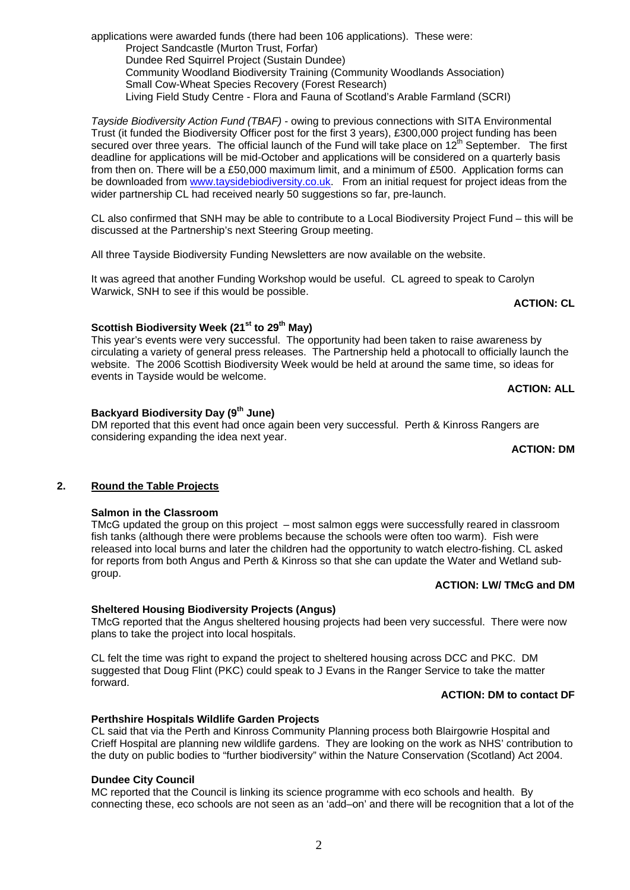applications were awarded funds (there had been 106 applications). These were: Project Sandcastle (Murton Trust, Forfar) Dundee Red Squirrel Project (Sustain Dundee) Community Woodland Biodiversity Training (Community Woodlands Association) Small Cow-Wheat Species Recovery (Forest Research) Living Field Study Centre - Flora and Fauna of Scotland's Arable Farmland (SCRI)

*Tayside Biodiversity Action Fund (TBAF)* - owing to previous connections with SITA Environmental Trust (it funded the Biodiversity Officer post for the first 3 years), £300,000 project funding has been secured over three years. The official launch of the Fund will take place on  $12<sup>th</sup>$  September. The first deadline for applications will be mid-October and applications will be considered on a quarterly basis from then on. There will be a £50,000 maximum limit, and a minimum of £500. Application forms can be downloaded from [www.taysidebiodiversity.co.uk.](http://www.taysidebiodiversity.co.uk/) From an initial request for project ideas from the wider partnership CL had received nearly 50 suggestions so far, pre-launch.

CL also confirmed that SNH may be able to contribute to a Local Biodiversity Project Fund – this will be discussed at the Partnership's next Steering Group meeting.

All three Tayside Biodiversity Funding Newsletters are now available on the website.

It was agreed that another Funding Workshop would be useful. CL agreed to speak to Carolyn Warwick, SNH to see if this would be possible.

**ACTION: CL** 

# Scottish Biodiversity Week (21<sup>st</sup> to 29<sup>th</sup> May)

This year's events were very successful. The opportunity had been taken to raise awareness by circulating a variety of general press releases. The Partnership held a photocall to officially launch the website. The 2006 Scottish Biodiversity Week would be held at around the same time, so ideas for events in Tayside would be welcome.

## **ACTION: ALL**

## **Backyard Biodiversity Day (9th June)**

DM reported that this event had once again been very successful. Perth & Kinross Rangers are considering expanding the idea next year.

**ACTION: DM**

# **2. Round the Table Projects**

# **Salmon in the Classroom**

TMcG updated the group on this project – most salmon eggs were successfully reared in classroom fish tanks (although there were problems because the schools were often too warm). Fish were released into local burns and later the children had the opportunity to watch electro-fishing. CL asked for reports from both Angus and Perth & Kinross so that she can update the Water and Wetland subgroup.

# **ACTION: LW/ TMcG and DM**

# **Sheltered Housing Biodiversity Projects (Angus)**

TMcG reported that the Angus sheltered housing projects had been very successful. There were now plans to take the project into local hospitals.

CL felt the time was right to expand the project to sheltered housing across DCC and PKC. DM suggested that Doug Flint (PKC) could speak to J Evans in the Ranger Service to take the matter forward.

#### **ACTION: DM to contact DF**

# **Perthshire Hospitals Wildlife Garden Projects**

CL said that via the Perth and Kinross Community Planning process both Blairgowrie Hospital and Crieff Hospital are planning new wildlife gardens. They are looking on the work as NHS' contribution to the duty on public bodies to "further biodiversity" within the Nature Conservation (Scotland) Act 2004.

#### **Dundee City Council**

MC reported that the Council is linking its science programme with eco schools and health. By connecting these, eco schools are not seen as an 'add–on' and there will be recognition that a lot of the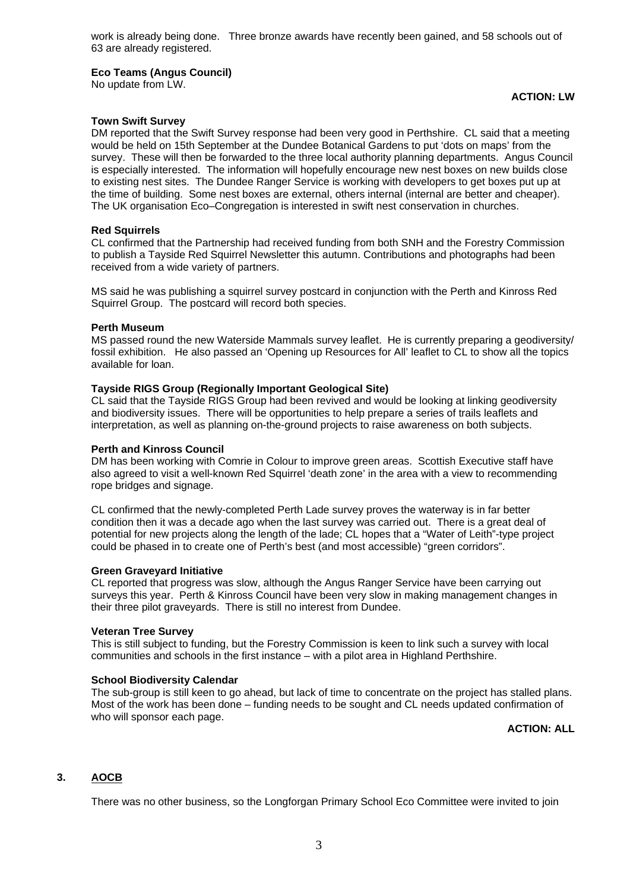work is already being done. Three bronze awards have recently been gained, and 58 schools out of 63 are already registered.

#### **Eco Teams (Angus Council)**

No update from LW.

## **ACTION: LW**

#### **Town Swift Survey**

DM reported that the Swift Survey response had been very good in Perthshire. CL said that a meeting would be held on 15th September at the Dundee Botanical Gardens to put 'dots on maps' from the survey. These will then be forwarded to the three local authority planning departments. Angus Council is especially interested. The information will hopefully encourage new nest boxes on new builds close to existing nest sites. The Dundee Ranger Service is working with developers to get boxes put up at the time of building. Some nest boxes are external, others internal (internal are better and cheaper). The UK organisation Eco–Congregation is interested in swift nest conservation in churches.

#### **Red Squirrels**

CL confirmed that the Partnership had received funding from both SNH and the Forestry Commission to publish a Tayside Red Squirrel Newsletter this autumn. Contributions and photographs had been received from a wide variety of partners.

MS said he was publishing a squirrel survey postcard in conjunction with the Perth and Kinross Red Squirrel Group. The postcard will record both species.

#### **Perth Museum**

MS passed round the new Waterside Mammals survey leaflet. He is currently preparing a geodiversity/ fossil exhibition. He also passed an 'Opening up Resources for All' leaflet to CL to show all the topics available for loan.

## **Tayside RIGS Group (Regionally Important Geological Site)**

CL said that the Tayside RIGS Group had been revived and would be looking at linking geodiversity and biodiversity issues. There will be opportunities to help prepare a series of trails leaflets and interpretation, as well as planning on-the-ground projects to raise awareness on both subjects.

#### **Perth and Kinross Council**

DM has been working with Comrie in Colour to improve green areas. Scottish Executive staff have also agreed to visit a well-known Red Squirrel 'death zone' in the area with a view to recommending rope bridges and signage.

CL confirmed that the newly-completed Perth Lade survey proves the waterway is in far better condition then it was a decade ago when the last survey was carried out. There is a great deal of potential for new projects along the length of the lade; CL hopes that a "Water of Leith"-type project could be phased in to create one of Perth's best (and most accessible) "green corridors".

#### **Green Graveyard Initiative**

CL reported that progress was slow, although the Angus Ranger Service have been carrying out surveys this year. Perth & Kinross Council have been very slow in making management changes in their three pilot graveyards. There is still no interest from Dundee.

#### **Veteran Tree Survey**

This is still subject to funding, but the Forestry Commission is keen to link such a survey with local communities and schools in the first instance – with a pilot area in Highland Perthshire.

# **School Biodiversity Calendar**

The sub-group is still keen to go ahead, but lack of time to concentrate on the project has stalled plans. Most of the work has been done – funding needs to be sought and CL needs updated confirmation of who will sponsor each page.

# **ACTION: ALL**

# **3. AOCB**

There was no other business, so the Longforgan Primary School Eco Committee were invited to join